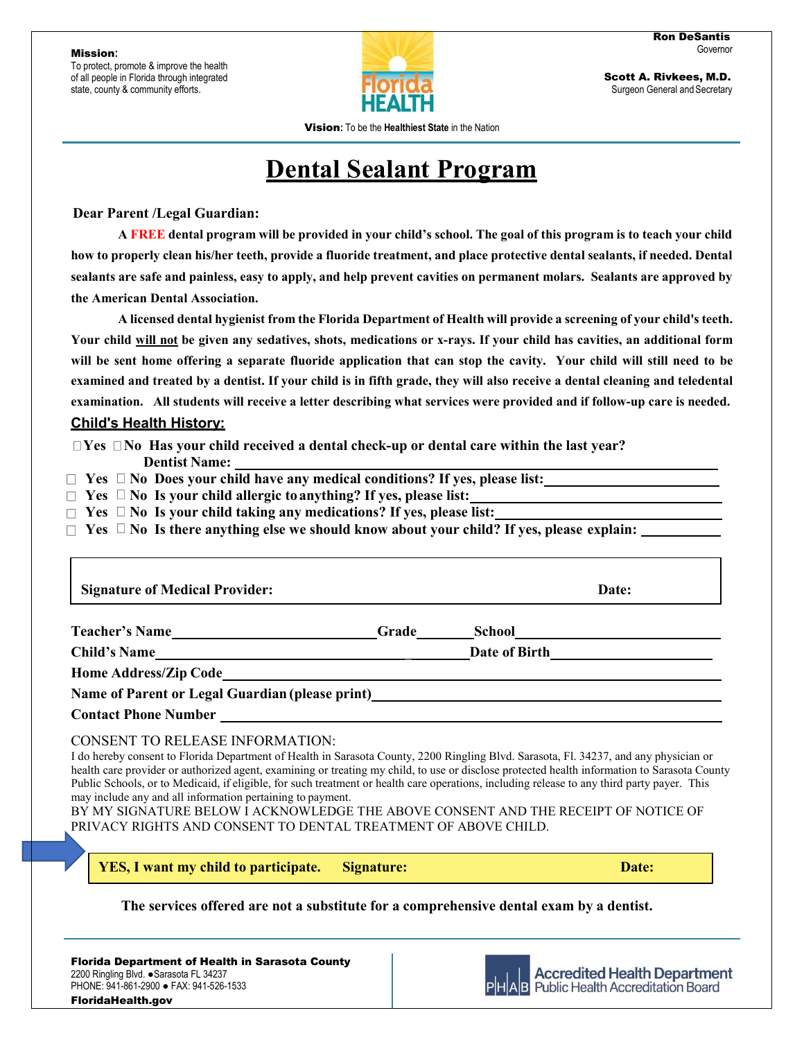Mission**:**

To protect, promote & improve the health of all people in Florida through integrated state, county & community efforts.



Scott A. Rivkees, M.D. Surgeon General and Secretary

Vision**:** To be the **Healthiest State** in the Nation

## **Dental Sealant Program**

 **Dear Parent /Legal Guardian:**

**A FREE dental program will be provided in your child's school. The goal of this program is to teach your child how to properly clean his/her teeth, provide a fluoride treatment, and place protective dental sealants, if needed. Dental sealants are safe and painless, easy to apply, and help prevent cavities on permanent molars. Sealants are approved by the American Dental Association.**

**A licensed dental hygienist from the Florida Department of Health will provide a screening of your child's teeth. Your child will not be given any sedatives, shots, medications or x-rays. If your child has cavities, an additional form will be sent home offering a separate fluoride application that can stop the cavity. Your child will still need to be examined and treated by a dentist. If your child is in fifth grade, they will also receive a dental cleaning and teledental examination. All students will receive a letter describing what services were provided and if follow-up care is needed.**

### **Child's Health History:**

**<u>If Yes Integral that**  $\blacksquare$  **Yes Integral received a dental check-up or dental care within the last year?</u>** 

**Dentist Name:**

 $\Box$  Yes  $\Box$  No Does your child have any medical conditions? If yes, please list:

□ Yes □ No Is your child allergic to anything? If yes, please list:

□ Yes □ No Is your child taking any medications? If yes, please list:

 $\Box$  Yes  $\Box$  No Is there anything else we should know about your child? If yes, please explain:

**Teacher's Name Grade School Child's Name \_ Date of Birth Home Address/Zip Code Name of Parent or Legal Guardian (please print) Contact Phone Number** CONSENT TO RELEASE INFORMATION: I do hereby consent to Florida Department of Health in Sarasota County, 2200 Ringling Blvd. Sarasota, Fl. 34237, and any physician or **Signature of Medical Provider: Date:** 

health care provider or authorized agent, examining or treating my child, to use or disclose protected health information to Sarasota County Public Schools, or to Medicaid, if eligible, for such treatment or health care operations, including release to any third party payer. This may include any and all information pertaining to payment.

BY MY SIGNATURE BELOW I ACKNOWLEDGE THE ABOVE CONSENT AND THE RECEIPT OF NOTICE OF PRIVACY RIGHTS AND CONSENT TO DENTAL TREATMENT OF ABOVE CHILD.

**YES, I want my child to participate. Signature: Date:** 

**The services offered are not a substitute for a comprehensive dental exam by a dentist.**

Florida Department of Health in Sarasota County 2200 Ringling Blvd. ●Sarasota FL 34237 PHONE: 941-861-2900 ● FAX: 941-526-1533 FloridaHealth.gov